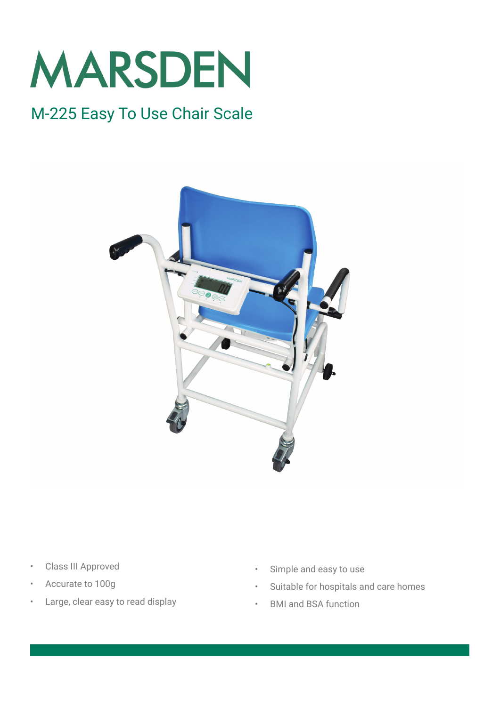

## M-225 Easy To Use Chair Scale



- Class III Approved
- Accurate to 100g
- Large, clear easy to read display
- Simple and easy to use
- Suitable for hospitals and care homes
- BMI and BSA function